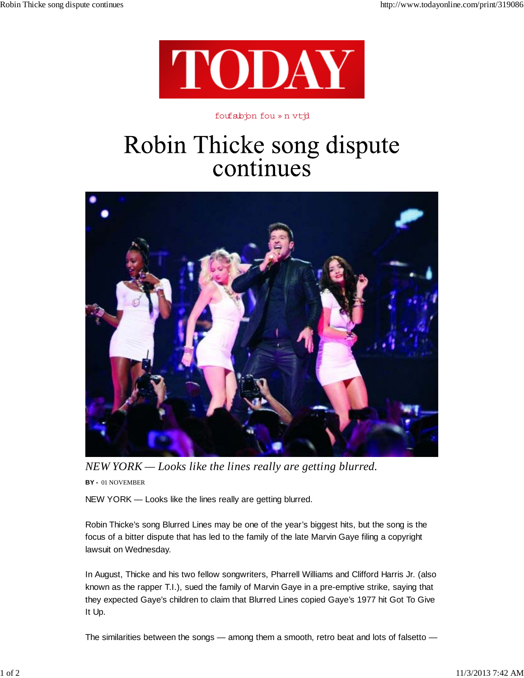

## foufabjon fou » n vtjd

## Robin Thicke song dispute continues



*NEW YORK — Looks like the lines really are getting blurred.*

**BY -** 01 NOVEMBER

NEW YORK — Looks like the lines really are getting blurred.

Robin Thicke's song Blurred Lines may be one of the year's biggest hits, but the song is the focus of a bitter dispute that has led to the family of the late Marvin Gaye filing a copyright lawsuit on Wednesday.

In August, Thicke and his two fellow songwriters, Pharrell Williams and Clifford Harris Jr. (also known as the rapper T.I.), sued the family of Marvin Gaye in a pre-emptive strike, saying that they expected Gaye's children to claim that Blurred Lines copied Gaye's 1977 hit Got To Give It Up.

The similarities between the songs — among them a smooth, retro beat and lots of falsetto —